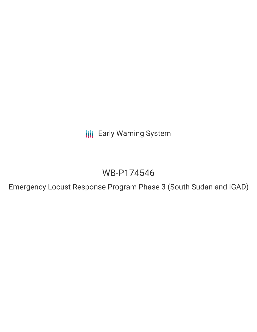**III** Early Warning System

# WB-P174546

Emergency Locust Response Program Phase 3 (South Sudan and IGAD)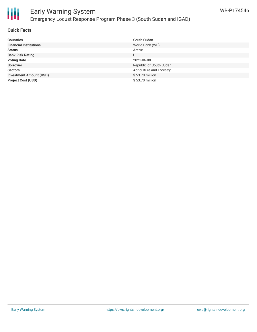

### **Quick Facts**

| <b>Countries</b>               | South Sudan              |
|--------------------------------|--------------------------|
| <b>Financial Institutions</b>  | World Bank (WB)          |
| <b>Status</b>                  | Active                   |
| <b>Bank Risk Rating</b>        | U                        |
| <b>Voting Date</b>             | 2021-06-08               |
| <b>Borrower</b>                | Republic of South Sudan  |
| <b>Sectors</b>                 | Agriculture and Forestry |
| <b>Investment Amount (USD)</b> | \$53.70 million          |
| <b>Project Cost (USD)</b>      | \$53.70 million          |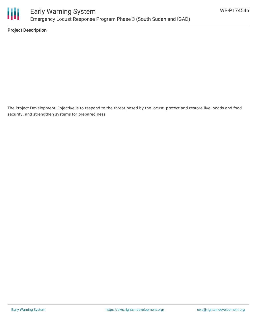

**Project Description**

The Project Development Objective is to respond to the threat posed by the locust, protect and restore livelihoods and food security, and strengthen systems for prepared ness.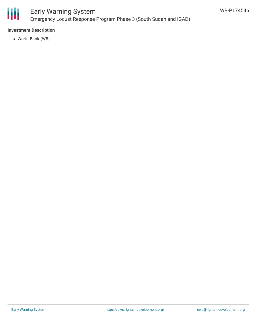

# Early Warning System Emergency Locust Response Program Phase 3 (South Sudan and IGAD)

## **Investment Description**

World Bank (WB)